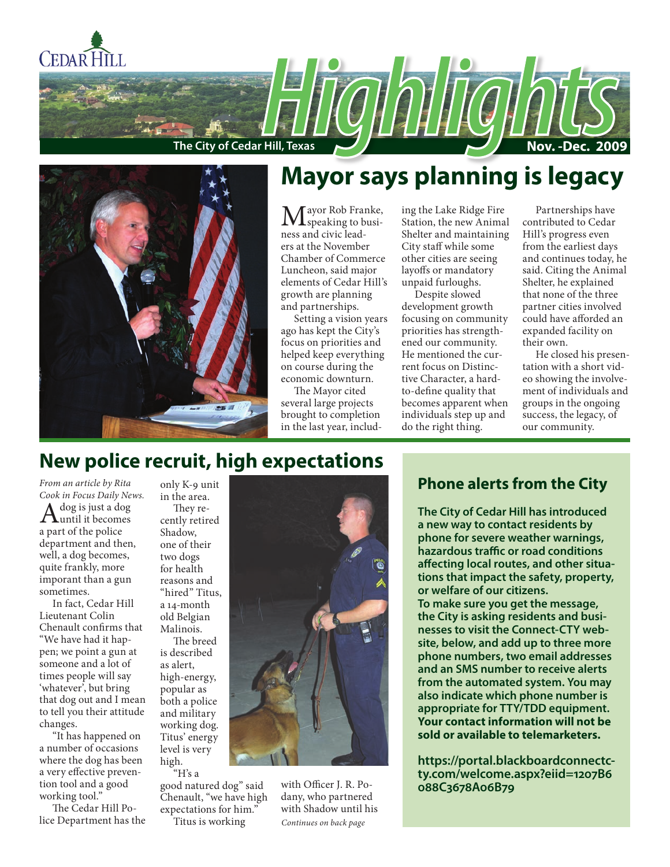



## **Mayor says planning is legacy**

Mayor Rob Franke,<br>
speaking to business and civic leaders at the November Chamber of Commerce Luncheon, said major elements of Cedar Hill's growth are planning and partnerships.

Setting a vision years ago has kept the City's focus on priorities and helped keep everything on course during the economic downturn.

The Mayor cited several large projects brought to completion in the last year, including the Lake Ridge Fire Station, the new Animal Shelter and maintaining City staff while some other cities are seeing layoffs or mandatory unpaid furloughs.

Despite slowed development growth focusing on community priorities has strengthened our community. He mentioned the current focus on Distinctive Character, a hardto-define quality that becomes apparent when individuals step up and do the right thing.

Partnerships have contributed to Cedar Hill's progress even from the earliest days and continues today, he said. Citing the Animal Shelter, he explained that none of the three partner cities involved could have afforded an expanded facility on their own.

He closed his presentation with a short video showing the involvement of individuals and groups in the ongoing success, the legacy, of our community.

## **New police recruit, high expectations**

*From an article by Rita Cook in Focus Daily News.*  $\mathbf{A}^{\text{dog is just a dog}}$ a part of the police department and then, well, a dog becomes, quite frankly, more imporant than a gun sometimes.

In fact, Cedar Hill Lieutenant Colin Chenault confirms that "We have had it happen; we point a gun at someone and a lot of times people will say 'whatever', but bring that dog out and I mean to tell you their attitude changes.

"It has happened on a number of occasions where the dog has been a very effective prevention tool and a good working tool."

The Cedar Hill Police Department has the only K-9 unit in the area. They recently retired Shadow,

one of their two dogs for health reasons and "hired" Titus, a 14-month old Belgian Malinois.

The breed is described as alert, high-energy, popular as both a police and military working dog. Titus' energy level is very high. "H's a

good natured dog" said Chenault, "we have high expectations for him."

Titus is working

with Officer J. R. Podany, who partnered with Shadow until his *Continues on back page*

## **Phone alerts from the City**

**The City of Cedar Hill has introduced a new way to contact residents by phone for severe weather warnings, hazardous traffic or road conditions affecting local routes, and other situations that impact the safety, property, or welfare of our citizens. To make sure you get the message, the City is asking residents and businesses to visit the Connect-CTY website, below, and add up to three more phone numbers, two email addresses and an SMS number to receive alerts from the automated system. You may also indicate which phone number is appropriate for TTY/TDD equipment. Your contact information will not be sold or available to telemarketers.**

**https://portal.blackboardconnectcty.com/welcome.aspx?eiid=1207B6 088C3678A06B79**

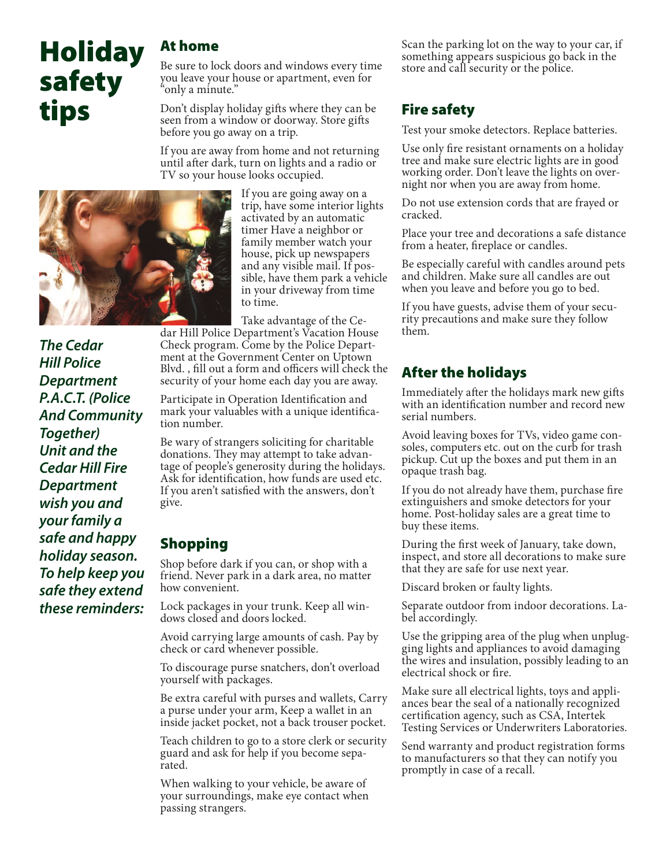# **Holiday** safety tips

## At home

Be sure to lock doors and windows every time you leave your house or apartment, even for "only a minute."

Don't display holiday gifts where they can be seen from a window or doorway. Store gifts before you go away on a trip.

If you are away from home and not returning until after dark, turn on lights and a radio or TV so your house looks occupied.



If you are going away on a trip, have some interior lights activated by an automatic timer Have a neighbor or family member watch your house, pick up newspapers and any visible mail. If possible, have them park a vehicle in your driveway from time to time.

Take advantage of the Ce-

dar Hill Police Department's Vacation House Check program. Come by the Police Department at the Government Center on Uptown Blvd. , fill out a form and officers will check the security of your home each day you are away.

Participate in Operation Identification and mark your valuables with a unique identification number.

Be wary of strangers soliciting for charitable donations. They may attempt to take advantage of people's generosity during the holidays. Ask for identification, how funds are used etc. If you aren't satisfied with the answers, don't give.

## Shopping

Shop before dark if you can, or shop with a friend. Never park in a dark area, no matter how convenient.

Lock packages in your trunk. Keep all windows closed and doors locked.

Avoid carrying large amounts of cash. Pay by check or card whenever possible.

To discourage purse snatchers, don't overload yourself with packages.

Be extra careful with purses and wallets, Carry a purse under your arm, Keep a wallet in an inside jacket pocket, not a back trouser pocket.

Teach children to go to a store clerk or security guard and ask for help if you become separated.

When walking to your vehicle, be aware of your surroundings, make eye contact when passing strangers.

Scan the parking lot on the way to your car, if something appears suspicious go back in the store and call security or the police.

## Fire safety

Test your smoke detectors. Replace batteries.

Use only fire resistant ornaments on a holiday tree and make sure electric lights are in good working order. Don't leave the lights on overnight nor when you are away from home.

Do not use extension cords that are frayed or cracked.

Place your tree and decorations a safe distance from a heater, fireplace or candles.

Be especially careful with candles around pets and children. Make sure all candles are out when you leave and before you go to bed.

If you have guests, advise them of your security precautions and make sure they follow them.

## After the holidays

Immediately after the holidays mark new gifts with an identification number and record new serial numbers.

Avoid leaving boxes for TVs, video game consoles, computers etc. out on the curb for trash pickup. Cut up the boxes and put them in an opaque trash bag.

If you do not already have them, purchase fire extinguishers and smoke detectors for your home. Post-holiday sales are a great time to buy these items.

During the first week of January, take down, inspect, and store all decorations to make sure that they are safe for use next year.

Discard broken or faulty lights.

Separate outdoor from indoor decorations. Label accordingly.

Use the gripping area of the plug when unplugging lights and appliances to avoid damaging the wires and insulation, possibly leading to an electrical shock or fire.

Make sure all electrical lights, toys and appliances bear the seal of a nationally recognized certification agency, such as CSA, Intertek Testing Services or Underwriters Laboratories.

Send warranty and product registration forms to manufacturers so that they can notify you promptly in case of a recall.

*The Cedar Hill Police Department P.A.C.T. (Police And Community Together) Unit and the Cedar Hill Fire Department wish you and your family a safe and happy holiday season. To help keep you safe they extend these reminders:*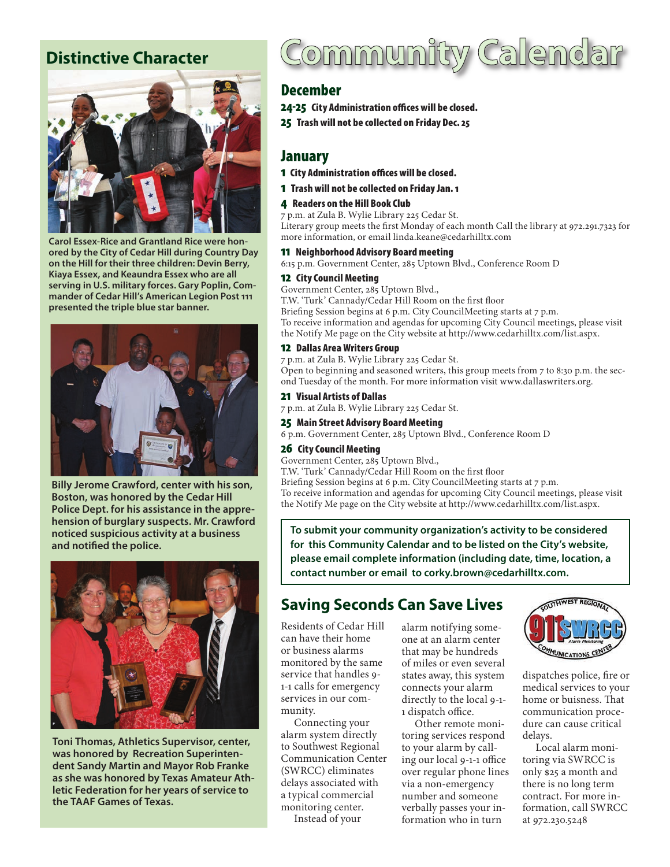## **Distinctive Character**



**Carol Essex-Rice and Grantland Rice were honored by the City of Cedar Hill during Country Day on the Hill for their three children: Devin Berry, Kiaya Essex, and Keaundra Essex who are all serving in U.S. military forces. Gary Poplin, Commander of Cedar Hill's American Legion Post 111 presented the triple blue star banner.**



**Billy Jerome Crawford, center with his son, Boston, was honored by the Cedar Hill Police Dept. for his assistance in the apprehension of burglary suspects. Mr. Crawford noticed suspicious activity at a business and notified the police.**



**Toni Thomas, Athletics Supervisor, center, was honored by Recreation Superintendent Sandy Martin and Mayor Rob Franke as she was honored by Texas Amateur Athletic Federation for her years of service to the TAAF Games of Texas.**

# Jommunity Calenda

## December

24-25 City Administration offices will be closed.

25 Trash will not be collected on Friday Dec. 25

## January

- 1 City Administration offices will be closed.
- 1 Trash will not be collected on Friday Jan. 1

#### 4 Readers on the Hill Book Club

7 p.m. at Zula B. Wylie Library 225 Cedar St. Literary group meets the first Monday of each month Call the library at 972.291.7323 for more information, or email linda.keane@cedarhilltx.com

#### 11 Neighborhood Advisory Board meeting

6:15 p.m. Government Center, 285 Uptown Blvd., Conference Room D

#### 12 City Council Meeting

Government Center, 285 Uptown Blvd., T.W. 'Turk' Cannady/Cedar Hill Room on the first floor Briefing Session begins at 6 p.m. City CouncilMeeting starts at 7 p.m.

To receive information and agendas for upcoming City Council meetings, please visit the Notify Me page on the City website at http://www.cedarhilltx.com/list.aspx.

#### 12 Dallas Area Writers Group

7 p.m. at Zula B. Wylie Library 225 Cedar St. Open to beginning and seasoned writers, this group meets from 7 to 8:30 p.m. the second Tuesday of the month. For more information visit www.dallaswriters.org.

#### 21 Visual Artists of Dallas

7 p.m. at Zula B. Wylie Library 225 Cedar St.

#### 25 Main Street Advisory Board Meeting

6 p.m. Government Center, 285 Uptown Blvd., Conference Room D

#### 26 City Council Meeting

Government Center, 285 Uptown Blvd.,

T.W. 'Turk' Cannady/Cedar Hill Room on the first floor Briefing Session begins at 6 p.m. City CouncilMeeting starts at 7 p.m. To receive information and agendas for upcoming City Council meetings, please visit the Notify Me page on the City website at http://www.cedarhilltx.com/list.aspx.

**To submit your community organization's activity to be considered for this Community Calendar and to be listed on the City's website, please email complete information (including date, time, location, a contact number or email to corky.brown@cedarhilltx.com.**

## **Saving Seconds Can Save Lives**

Residents of Cedar Hill can have their home or business alarms monitored by the same service that handles 9- 1-1 calls for emergency services in our community.

Connecting your alarm system directly to Southwest Regional Communication Center (SWRCC) eliminates delays associated with a typical commercial monitoring center. Instead of your

alarm notifying someone at an alarm center that may be hundreds of miles or even several states away, this system connects your alarm directly to the local 9-1- 1 dispatch office.

Other remote monitoring services respond to your alarm by calling our local 9-1-1 office over regular phone lines via a non-emergency number and someone verbally passes your information who in turn



dispatches police, fire or medical services to your home or buisness. That communication procedure can cause critical delays.

Local alarm monitoring via SWRCC is only \$25 a month and there is no long term contract. For more information, call SWRCC at 972.230.5248